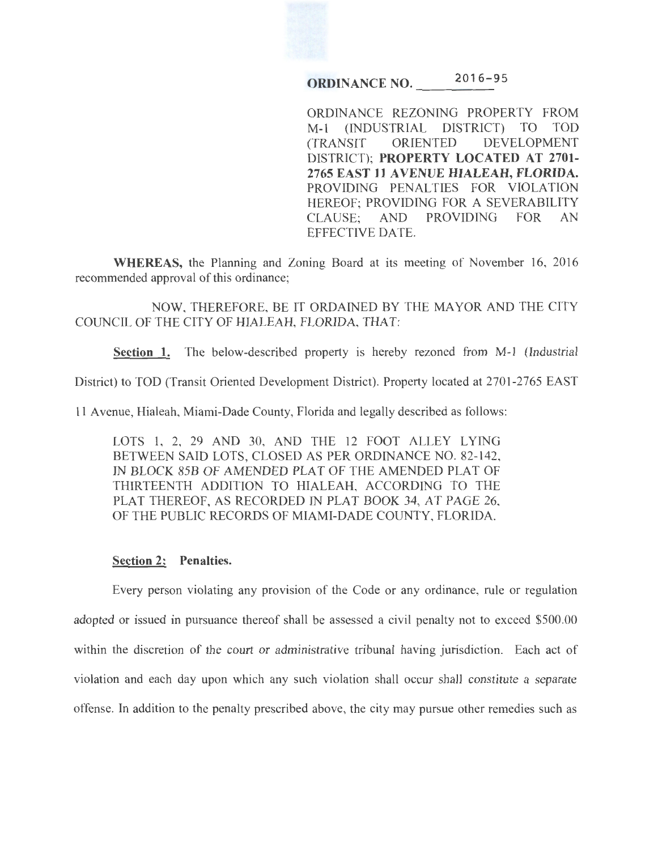

**ORDINANCE NO.**  $2016 - 95$ 

ORDINANCE REZONING PROPERTY FROM M-1 (INDUSTRIAL DISTRICT) TO TOD (TRANSIT ORIENTED DEVELOPMENT DISTRICT); **PROPERTY LOCATED AT 2701- 2765 EAST 11 AVENUE HIALEAH, FLORIDA.** PROVIDING PENALTIES FOR VIOLATION HEREOF; PROVIDING FOR A SEVERABILITY CLAUSE; AND PROVIDING FOR AN EFFECTIVE DATE.

**WHEREAS,** the Planning and Zoning Board at its meeting of November 16, 2016 recommended approval of this ordinance;

NOW, THEREFORE, BE IT ORDAINED BY THE MAYOR AND THE CITY COUNCIL OF THE CITY OF HIALEAH, FLORIDA, THAT:

**Section 1.** The below-described property is hereby rezoned from M-1 (Industrial

District) to TOD (Transit Oriented Development District). Property located at 2701-2765 EAST

11 Avenue, Hialeah, Miami-Dade County, Florida and legally described as follows:

LOTS 1, 2, 29 AND 30, AND THE 12 FOOT ALLEY LYING BETWEEN SAID LOTS, CLOSED AS PER ORDINANCE NO. 82-142, IN BLOCK 85B OF AMENDED PLAT OF THE AMENDED PLAT OF THIRTEENTH ADDITION TO HIALEAH, ACCORDING TO THE PLAT THEREOF, AS RECORDED IN PLAT BOOK 34, AT PAGE 26, OF THE PUBLIC RECORDS OF MIAMI-DADE COUNTY, FLORIDA.

## **Section 2: Penalties.**

Every person violating any provision of the Code or any ordinance, rule or regulation adopted or issued in pursuance thereof shall be assessed a civil penalty not to exceed \$500.00 within the discretion of the court or administrative tribunal having jurisdiction. Each act of violation and each day upon which any such violation shall occur shall constitute a separate offense. In addition to the penalty prescribed above, the city may pursue other remedies such as